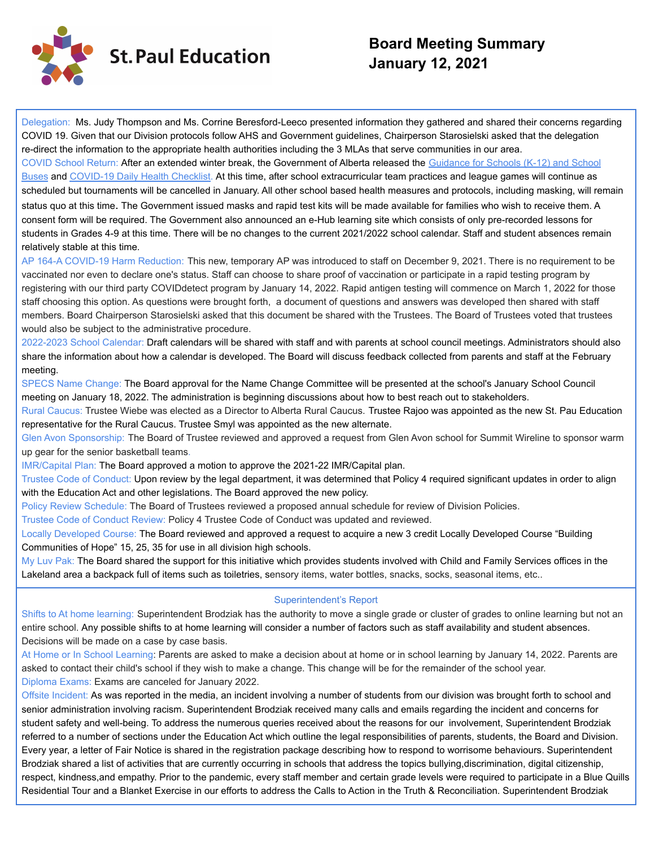

# **Board Meeting Summary January 12, 2021**

Delegation: Ms. Judy Thompson and Ms. Corrine Beresford-Leeco presented information they gathered and shared their concerns regarding COVID 19. Given that our Division protocols follow AHS and Government guidelines, Chairperson Starosielski asked that the delegation re-direct the information to the appropriate health authorities including the 3 MLAs that serve communities in our area.

COVID School Return: After an extended winter break, the Government of Alberta released the Guidance for [Schools \(K-12\) and School](https://drive.google.com/file/d/1HltW_zuMIWfac9f4kpcfx1qHwUa-kkSu/view?usp=sharing) [Buses](https://drive.google.com/file/d/1HltW_zuMIWfac9f4kpcfx1qHwUa-kkSu/view?usp=sharing) and [COVID-19 Daily Health Checklist.](https://drive.google.com/file/d/1wA9tHEnK9A0DPPbCy5JJR8MbVq2L0bA5/view?usp=sharing) At this time, after school extracurricular team practices and league games will continue as scheduled but tournaments will be cancelled in January. All other school based health measures and protocols, including masking, will remain status quo at this time. The Government issued masks and rapid test kits will be made available for families who wish to receive them. A consent form will be required. The Government also announced an e-Hub learning site which consists of only pre-recorded lessons for students in Grades 4-9 at this time. There will be no changes to the current 2021/2022 school calendar. Staff and student absences remain relatively stable at this time.

AP 164-A COVID-19 Harm Reduction: This new, temporary AP was introduced to staff on December 9, 2021. There is no requirement to be vaccinated nor even to declare one's status. Staff can choose to share proof of vaccination or participate in a rapid testing program by registering with our third party COVIDdetect program by January 14, 2022. Rapid antigen testing will commence on March 1, 2022 for those staff choosing this option. As questions were brought forth, a document of questions and answers was developed then shared with staff members. Board Chairperson Starosielski asked that this document be shared with the Trustees. The Board of Trustees voted that trustees would also be subject to the administrative procedure.

2022-2023 School Calendar: Draft calendars will be shared with staff and with parents at school council meetings. Administrators should also share the information about how a calendar is developed. The Board will discuss feedback collected from parents and staff at the February meeting.

SPECS Name Change: The Board approval for the Name Change Committee will be presented at the school's January School Council meeting on January 18, 2022. The administration is beginning discussions about how to best reach out to stakeholders.

Rural Caucus: Trustee Wiebe was elected as a Director to Alberta Rural Caucus. Trustee Rajoo was appointed as the new St. Pau Education representative for the Rural Caucus. Trustee Smyl was appointed as the new alternate.

Glen Avon Sponsorship: The Board of Trustee reviewed and approved a request from Glen Avon school for Summit Wireline to sponsor warm up gear for the senior basketball teams.

IMR/Capital Plan: The Board approved a motion to approve the 2021-22 IMR/Capital plan.

Trustee Code of Conduct: Upon review by the legal department, it was determined that Policy 4 required significant updates in order to align with the Education Act and other legislations. The Board approved the new policy.

Policy Review Schedule: The Board of Trustees reviewed a proposed annual schedule for review of Division Policies.

Trustee Code of Conduct Review: Policy 4 Trustee Code of Conduct was updated and reviewed.

Locally Developed Course: The Board reviewed and approved a request to acquire a new 3 credit Locally Developed Course "Building Communities of Hope" 15, 25, 35 for use in all division high schools.

My Luv Pak: The Board shared the support for this initiative which provides students involved with Child and Family Services offices in the Lakeland area a backpack full of items such as toiletries, sensory items, water bottles, snacks, socks, seasonal items, etc..

### Superintendent's Report

Shifts to At home learning: Superintendent Brodziak has the authority to move a single grade or cluster of grades to online learning but not an entire school. Any possible shifts to at home learning will consider a number of factors such as staff availability and student absences. Decisions will be made on a case by case basis.

At Home or In School Learning: Parents are asked to make a decision about at home or in school learning by January 14, 2022. Parents are asked to contact their child's school if they wish to make a change. This change will be for the remainder of the school year. Diploma Exams: Exams are canceled for January 2022.

Offsite Incident: As was reported in the media, an incident involving a number of students from our division was brought forth to school and senior administration involving racism. Superintendent Brodziak received many calls and emails regarding the incident and concerns for student safety and well-being. To address the numerous queries received about the reasons for our involvement, Superintendent Brodziak referred to a number of sections under the Education Act which outline the legal responsibilities of parents, students, the Board and Division. Every year, a letter of Fair Notice is shared in the registration package describing how to respond to worrisome behaviours. Superintendent Brodziak shared a list of activities that are currently occurring in schools that address the topics bullying,discrimination, digital citizenship, respect, kindness,and empathy. Prior to the pandemic, every staff member and certain grade levels were required to participate in a Blue Quills Residential Tour and a Blanket Exercise in our efforts to address the Calls to Action in the Truth & Reconciliation. Superintendent Brodziak